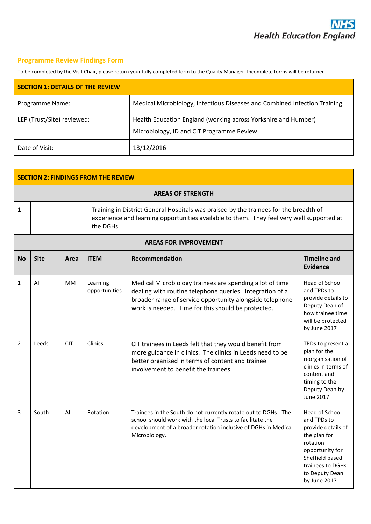# **Programme Review Findings Form**

To be completed by the Visit Chair, please return your fully completed form to the Quality Manager. Incomplete forms will be returned.

| <b>SECTION 1: DETAILS OF THE REVIEW</b> |                                                                                                             |
|-----------------------------------------|-------------------------------------------------------------------------------------------------------------|
| Programme Name:                         | Medical Microbiology, Infectious Diseases and Combined Infection Training                                   |
| LEP (Trust/Site) reviewed:              | Health Education England (working across Yorkshire and Humber)<br>Microbiology, ID and CIT Programme Review |
| Date of Visit:                          | 13/12/2016                                                                                                  |

| <b>SECTION 2: FINDINGS FROM THE REVIEW</b> |             |            |                           |                                                                                                                                                                                                                                        |                                                                                                                                                                             |  |  |
|--------------------------------------------|-------------|------------|---------------------------|----------------------------------------------------------------------------------------------------------------------------------------------------------------------------------------------------------------------------------------|-----------------------------------------------------------------------------------------------------------------------------------------------------------------------------|--|--|
| <b>AREAS OF STRENGTH</b>                   |             |            |                           |                                                                                                                                                                                                                                        |                                                                                                                                                                             |  |  |
| $\mathbf{1}$                               |             |            | the DGHs.                 | Training in District General Hospitals was praised by the trainees for the breadth of<br>experience and learning opportunities available to them. They feel very well supported at                                                     |                                                                                                                                                                             |  |  |
| <b>AREAS FOR IMPROVEMENT</b>               |             |            |                           |                                                                                                                                                                                                                                        |                                                                                                                                                                             |  |  |
| <b>No</b>                                  | <b>Site</b> | Area       | <b>ITEM</b>               | <b>Recommendation</b>                                                                                                                                                                                                                  | <b>Timeline and</b><br><b>Evidence</b>                                                                                                                                      |  |  |
| 1                                          | All         | MМ         | Learning<br>opportunities | Medical Microbiology trainees are spending a lot of time<br>dealing with routine telephone queries. Integration of a<br>broader range of service opportunity alongside telephone<br>work is needed. Time for this should be protected. | Head of School<br>and TPDs to<br>provide details to<br>Deputy Dean of<br>how trainee time<br>will be protected<br>by June 2017                                              |  |  |
| $\overline{2}$                             | Leeds       | <b>CIT</b> | Clinics                   | CIT trainees in Leeds felt that they would benefit from<br>more guidance in clinics. The clinics in Leeds need to be<br>better organised in terms of content and trainee<br>involvement to benefit the trainees.                       | TPDs to present a<br>plan for the<br>reorganisation of<br>clinics in terms of<br>content and<br>timing to the<br>Deputy Dean by<br><b>June 2017</b>                         |  |  |
| 3                                          | South       | All        | Rotation                  | Trainees in the South do not currently rotate out to DGHs. The<br>school should work with the local Trusts to facilitate the<br>development of a broader rotation inclusive of DGHs in Medical<br>Microbiology.                        | Head of School<br>and TPDs to<br>provide details of<br>the plan for<br>rotation<br>opportunity for<br>Sheffield based<br>trainees to DGHs<br>to Deputy Dean<br>by June 2017 |  |  |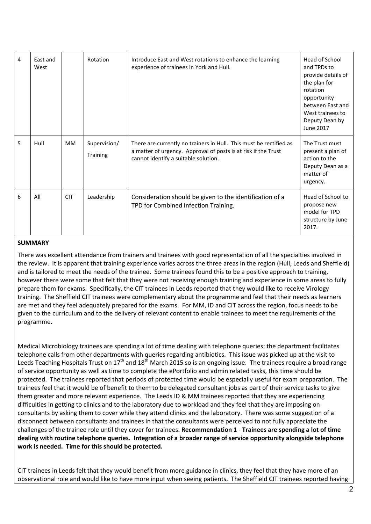| 4 | East and<br>West |            | Rotation                 | Introduce East and West rotations to enhance the learning<br>experience of trainees in York and Hull.                                                                        | Head of School<br>and TPDs to<br>provide details of<br>the plan for<br>rotation<br>opportunity<br>between East and<br>West trainees to<br>Deputy Dean by<br>June 2017 |
|---|------------------|------------|--------------------------|------------------------------------------------------------------------------------------------------------------------------------------------------------------------------|-----------------------------------------------------------------------------------------------------------------------------------------------------------------------|
| 5 | Hull             | <b>MM</b>  | Supervision/<br>Training | There are currently no trainers in Hull. This must be rectified as<br>a matter of urgency. Approval of posts is at risk if the Trust<br>cannot identify a suitable solution. | The Trust must<br>present a plan of<br>action to the<br>Deputy Dean as a<br>matter of<br>urgency.                                                                     |
| 6 | All              | <b>CIT</b> | Leadership               | Consideration should be given to the identification of a<br>TPD for Combined Infection Training.                                                                             | Head of School to<br>propose new<br>model for TPD<br>structure by June<br>2017.                                                                                       |

#### **SUMMARY**

There was excellent attendance from trainers and trainees with good representation of all the specialties involved in the review. It is apparent that training experience varies across the three areas in the region (Hull, Leeds and Sheffield) and is tailored to meet the needs of the trainee. Some trainees found this to be a positive approach to training, however there were some that felt that they were not receiving enough training and experience in some areas to fully prepare them for exams. Specifically, the CIT trainees in Leeds reported that they would like to receive Virology training. The Sheffield CIT trainees were complementary about the programme and feel that their needs as learners are met and they feel adequately prepared for the exams. For MM, ID and CIT across the region, focus needs to be given to the curriculum and to the delivery of relevant content to enable trainees to meet the requirements of the programme.

Medical Microbiology trainees are spending a lot of time dealing with telephone queries; the department facilitates telephone calls from other departments with queries regarding antibiotics. This issue was picked up at the visit to Leeds Teaching Hospitals Trust on  $17<sup>th</sup>$  and  $18<sup>th</sup>$  March 2015 so is an ongoing issue. The trainees require a broad range of service opportunity as well as time to complete the ePortfolio and admin related tasks, this time should be protected. The trainees reported that periods of protected time would be especially useful for exam preparation. The trainees feel that it would be of benefit to them to be delegated consultant jobs as part of their service tasks to give them greater and more relevant experience. The Leeds ID & MM trainees reported that they are experiencing difficulties in getting to clinics and to the laboratory due to workload and they feel that they are imposing on consultants by asking them to cover while they attend clinics and the laboratory. There was some suggestion of a disconnect between consultants and trainees in that the consultants were perceived to not fully appreciate the challenges of the trainee role until they cover for trainees. **Recommendation 1** - **Trainees are spending a lot of time dealing with routine telephone queries. Integration of a broader range of service opportunity alongside telephone work is needed. Time for this should be protected.**

CIT trainees in Leeds felt that they would benefit from more guidance in clinics, they feel that they have more of an observational role and would like to have more input when seeing patients. The Sheffield CIT trainees reported having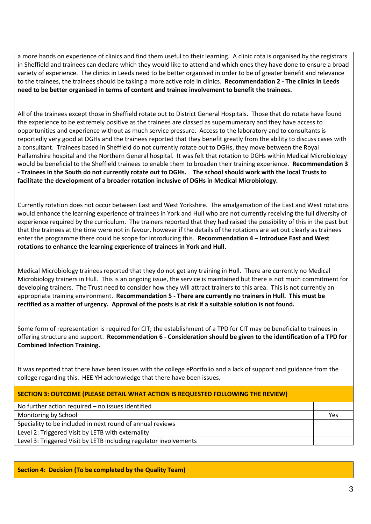a more hands on experience of clinics and find them useful to their learning. A clinic rota is organised by the registrars in Sheffield and trainees can declare which they would like to attend and which ones they have done to ensure a broad variety of experience. The clinics in Leeds need to be better organised in order to be of greater benefit and relevance to the trainees, the trainees should be taking a more active role in clinics. **Recommendation 2 - The clinics in Leeds need to be better organised in terms of content and trainee involvement to benefit the trainees.** 

All of the trainees except those in Sheffield rotate out to District General Hospitals. Those that do rotate have found the experience to be extremely positive as the trainees are classed as supernumerary and they have access to opportunities and experience without as much service pressure. Access to the laboratory and to consultants is reportedly very good at DGHs and the trainees reported that they benefit greatly from the ability to discuss cases with a consultant. Trainees based in Sheffield do not currently rotate out to DGHs, they move between the Royal Hallamshire hospital and the Northern General hospital. It was felt that rotation to DGHs within Medical Microbiology would be beneficial to the Sheffield trainees to enable them to broaden their training experience. **Recommendation 3 - Trainees in the South do not currently rotate out to DGHs. The school should work with the local Trusts to facilitate the development of a broader rotation inclusive of DGHs in Medical Microbiology.**

Currently rotation does not occur between East and West Yorkshire. The amalgamation of the East and West rotations would enhance the learning experience of trainees in York and Hull who are not currently receiving the full diversity of experience required by the curriculum. The trainers reported that they had raised the possibility of this in the past but that the trainees at the time were not in favour, however if the details of the rotations are set out clearly as trainees enter the programme there could be scope for introducing this. **Recommendation 4 – Introduce East and West rotations to enhance the learning experience of trainees in York and Hull.**

Medical Microbiology trainees reported that they do not get any training in Hull. There are currently no Medical Microbiology trainers in Hull. This is an ongoing issue, the service is maintained but there is not much commitment for developing trainers. The Trust need to consider how they will attract trainers to this area. This is not currently an appropriate training environment. **Recommendation 5 - There are currently no trainers in Hull. This must be rectified as a matter of urgency. Approval of the posts is at risk if a suitable solution is not found.** 

Some form of representation is required for CIT; the establishment of a TPD for CIT may be beneficial to trainees in offering structure and support. **Recommendation 6 - Consideration should be given to the identification of a TPD for Combined Infection Training.** 

It was reported that there have been issues with the college ePortfolio and a lack of support and guidance from the college regarding this. HEE YH acknowledge that there have been issues.

### **SECTION 3: OUTCOME (PLEASE DETAIL WHAT ACTION IS REQUESTED FOLLOWING THE REVIEW)**

No further action required – no issues identified

Monitoring by School Yes

Speciality to be included in next round of annual reviews

Level 2: Triggered Visit by LETB with externality

Level 3: Triggered Visit by LETB including regulator involvements

### **Section 4: Decision (To be completed by the Quality Team)**